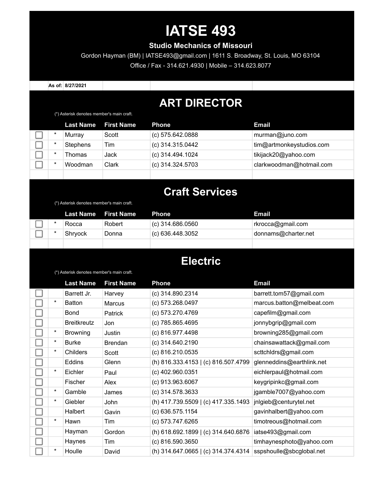# **IATSE 493**

#### **Studio Mechanics of Missouri**

Gordon Hayman (BM) | IATSE493@gmail.com | 1611 S. Broadway, St. Louis, MO 63104 Office / Fax - 314.621.4930 | Mobile – 314.623.8077

**As of: 8/27/2021**

#### **ART DIRECTOR**

(\*) Asterisk denotes member's main craft.

|         | Last Name       | <b>First Name</b> | <b>Phone</b>       | Email                    |
|---------|-----------------|-------------------|--------------------|--------------------------|
| *       | Murray          | Scott             | (c) 575.642.0888   | murman@juno.com          |
| *       | <b>Stephens</b> | Tim               | $(c)$ 314.315.0442 | tim@artmonkeystudios.com |
| *       | Thomas          | Jack              | (c) 314.494.1024   | tikijack20@yahoo.com     |
| $\star$ | Woodman         | Clark             | (c) 314.324.5703   | clarkwoodman@hotmail.com |
|         |                 |                   |                    |                          |

#### **Craft Services**

| (*) Asterisk denotes member's main craft. |                  |                   |                    |                     |  |  |
|-------------------------------------------|------------------|-------------------|--------------------|---------------------|--|--|
|                                           | <b>Last Name</b> | <b>First Name</b> | <b>Phone</b>       | Email               |  |  |
| $\star$                                   | Rocca            | Robert            | (c) 314.686.0560   | rkrocca@gmail.com   |  |  |
|                                           | Shryock          | Donna             | $(c)$ 636.448.3052 | donnams@charter.net |  |  |
|                                           |                  |                   |                    |                     |  |  |

#### **Electric**

(\*) Asterisk denotes member's main craft.

|          | <b>Last Name</b>   | <b>First Name</b> | <b>Phone</b>                        | <b>Email</b>              |
|----------|--------------------|-------------------|-------------------------------------|---------------------------|
|          | Barrett Jr.        | Harvey            | (c) 314.890.2314                    | barrett.tom57@gmail.com   |
| $^\star$ | <b>Batton</b>      | <b>Marcus</b>     | (c) 573.268.0497                    | marcus.batton@melbeat.com |
|          | Bond               | Patrick           | (c) 573.270.4769                    | capefilm@gmail.com        |
|          | <b>Breitkreutz</b> | Jon               | (c) 785.865.4695                    | jonnybgrip@gmail.com      |
| $^\star$ | <b>Browning</b>    | Justin            | (c) 816.977.4498                    | browning285@gmail.com     |
| $^\star$ | <b>Burke</b>       | Brendan           | $(c)$ 314.640.2190                  | chainsawattack@gmail.com  |
| $^\star$ | Childers           | Scott             | (c) 816.210.0535                    | scttchldrs@gmail.com      |
|          | <b>Eddins</b>      | Glenn             | (h) 816.333.4153   (c) 816.507.4799 | glenneddins@earthlink.net |
| *        | <b>Eichler</b>     | Paul              | (c) 402.960.0351                    | eichlerpaul@hotmail.com   |
|          | Fischer            | Alex              | $(c)$ 913.963.6067                  | keygripinkc@gmail.com     |
| *        | Gamble             | James             | $(c)$ 314.578.3633                  | jgamble7007@yahoo.com     |
| $\star$  | Giebler            | John              | (h) 417.739.5509   (c) 417.335.1493 | jnlgieb@centurytel.net    |
|          | Halbert            | Gavin             | $(c)$ 636.575.1154                  | gavinhalbert@yahoo.com    |
| $^\star$ | Hawn               | Tim               | (c) 573.747.6265                    | timotreous@hotmail.com    |
|          | Hayman             | Gordon            | (h) 618.692.1899   (c) 314.640.6876 | iatse493@gmail.com        |
|          | Haynes             | Tim               | $(c)$ 816.590.3650                  | timhaynesphoto@yahoo.com  |
| $^\star$ | Houlle             | David             | (h) 314.647.0665   (c) 314.374.4314 | sspshoulle@sbcglobal.net  |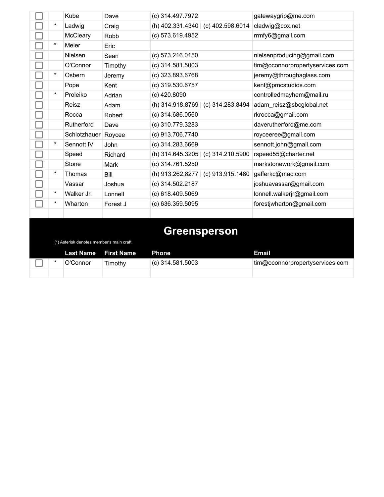|          | Kube                                      | Dave                | (c) 314.497.7972                    | gatewaygrip@me.com              |
|----------|-------------------------------------------|---------------------|-------------------------------------|---------------------------------|
| $^\star$ | Ladwig                                    | Craig               | (h) 402.331.4340   (c) 402.598.6014 | cladwig@cox.net                 |
|          | McCleary                                  | Robb                | (c) 573.619.4952                    | rrmfy6@gmail.com                |
| $\star$  | Meier                                     | Eric                |                                     |                                 |
|          | Nielsen                                   | Sean                | (c) 573.216.0150                    | nielsenproducing@gmail.com      |
|          | O'Connor                                  | Timothy             | $(c)$ 314.581.5003                  | tim@oconnorpropertyservices.com |
| $\star$  | Osbern                                    | Jeremy              | (c) 323.893.6768                    | jeremy@throughaglass.com        |
|          | Pope                                      | Kent                | (c) 319.530.6757                    | kent@pmcstudios.com             |
| $\star$  | Proleiko                                  | Adrian              | (c) 420.8090                        | controlledmayhem@mail.ru        |
|          | Reisz                                     | Adam                | (h) 314.918.8769   (c) 314.283.8494 | adam_reisz@sbcglobal.net        |
|          | Rocca                                     | Robert              | (c) 314.686.0560                    | rkrocca@gmail.com               |
|          | Rutherford                                | Dave                | (c) 310.779.3283                    | daverutherford@me.com           |
|          | Schlotzhauer                              | Roycee              | (c) 913.706.7740                    | royceeree@gmail.com             |
| $^\star$ | Sennott IV                                | John                | (c) 314.283.6669                    | sennott.john@gmail.com          |
|          | Speed                                     | Richard             | (h) 314.645.3205   (c) 314.210.5900 | rspeed55@charter.net            |
|          | Stone                                     | Mark                | (c) 314.761.5250                    | markstonework@gmail.com         |
| $^\star$ | Thomas                                    | Bill                | (h) 913.262.8277   (c) 913.915.1480 | gafferkc@mac.com                |
|          | Vassar                                    | Joshua              | (c) 314.502.2187                    | joshuavassar@gmail.com          |
| $^\star$ | Walker Jr.                                | Lonnell             | (c) 618.409.5069                    | lonnell.walkerjr@gmail.com      |
| *        | Wharton                                   | Forest J            | (c) 636.359.5095                    | forestjwharton@gmail.com        |
|          |                                           |                     |                                     |                                 |
|          | (*) Asterisk denotes member's main craft. |                     | Greensperson                        |                                 |
|          | <b>Line of Minimum Committee</b>          | <b>PERMIT AND A</b> |                                     |                                 |

|  | <b>Last Name</b> First Name |         | Phone            | Email                           |
|--|-----------------------------|---------|------------------|---------------------------------|
|  | O'Connor                    | Timothy | (c) 314.581.5003 | tim@oconnorpropertyservices.com |
|  |                             |         |                  |                                 |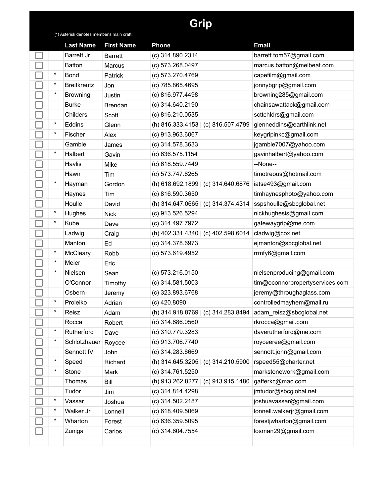## **Grip**

(\*) Asterisk denotes member's main craft.

|          | <b>Last Name</b>   | <b>First Name</b> | Phone                               | <b>Email</b>                    |
|----------|--------------------|-------------------|-------------------------------------|---------------------------------|
|          | Barrett Jr.        | <b>Barrett</b>    | (c) 314.890.2314                    | barrett.tom57@gmail.com         |
|          | <b>Batton</b>      | Marcus            | (c) 573.268.0497                    | marcus.batton@melbeat.com       |
| $\star$  | Bond               | Patrick           | (c) 573.270.4769                    | capefilm@gmail.com              |
| $\star$  | <b>Breitkreutz</b> | Jon               | (c) 785.865.4695                    | jonnybgrip@gmail.com            |
| $\star$  | <b>Browning</b>    | Justin            | (c) 816.977.4498                    | browning285@gmail.com           |
|          | <b>Burke</b>       | Brendan           | (c) 314.640.2190                    | chainsawattack@gmail.com        |
|          | Childers           | Scott             | (c) 816.210.0535                    | scttchldrs@gmail.com            |
| $^\star$ | Eddins             | Glenn             | (h) 816.333.4153   (c) 816.507.4799 | glenneddins@earthlink.net       |
| $\star$  | Fischer            | Alex              | (c) 913.963.6067                    | keygripinkc@gmail.com           |
|          | Gamble             | James             | (c) 314.578.3633                    | jgamble7007@yahoo.com           |
| $\star$  | Halbert            | Gavin             | (c) 636.575.1154                    | gavinhalbert@yahoo.com          |
|          | Havlis             | Mike              | (c) 618.559.7449                    | --None--                        |
|          | Hawn               | Tim               | (c) 573.747.6265                    | timotreous@hotmail.com          |
| $\star$  | Hayman             | Gordon            | (h) 618.692.1899   (c) 314.640.6876 | iatse493@gmail.com              |
|          | Haynes             | Tim               | (c) 816.590.3650                    | timhaynesphoto@yahoo.com        |
|          | Houlle             | David             | (h) 314.647.0665   (c) 314.374.4314 | sspshoulle@sbcglobal.net        |
| $\star$  | Hughes             | <b>Nick</b>       | (c) 913.526.5294                    | nickhughesis@gmail.com          |
| $\star$  | Kube               | Dave              | (c) 314.497.7972                    | gatewaygrip@me.com              |
|          | Ladwig             | Craig             | (h) 402.331.4340   (c) 402.598.6014 | cladwig@cox.net                 |
|          | Manton             | Ed                | (c) 314.378.6973                    | ejmanton@sbcglobal.net          |
| $\ast$   | McCleary           | Robb              | (c) 573.619.4952                    | rrmfy6@gmail.com                |
| $\star$  | Meier              | Eric              |                                     |                                 |
| $\star$  | Nielsen            | Sean              | (c) 573.216.0150                    | nielsenproducing@gmail.com      |
|          | O'Connor           | Timothy           | $(c)$ 314.581.5003                  | tim@oconnorpropertyservices.com |
|          | Osbern             | Jeremy            | (c) 323.893.6768                    | jeremy@throughaglass.com        |
| $^\star$ | Proleiko           | Adrian            | (c) 420.8090                        | controlledmayhem@mail.ru        |
| $\ast$   | Reisz              | Adam              | (h) 314.918.8769   (c) 314.283.8494 | adam_reisz@sbcglobal.net        |
|          | Rocca              | Robert            | $(c)$ 314.686.0560                  | rkrocca@gmail.com               |
| $^\star$ | Rutherford         | Dave              | (c) 310.779.3283                    | daverutherford@me.com           |
| $\ast$   | Schlotzhauer       | Roycee            | (c) 913.706.7740                    | royceeree@gmail.com             |
|          | Sennott IV         | John              | (c) 314.283.6669                    | sennott.john@gmail.com          |
| $^\star$ | Speed              | Richard           | (h) 314.645.3205   (c) 314.210.5900 | rspeed55@charter.net            |
| $\ast$   | Stone              | Mark              | (c) 314.761.5250                    | markstonework@gmail.com         |
|          | Thomas             | Bill              | (h) 913.262.8277   (c) 913.915.1480 | gafferkc@mac.com                |
|          | Tudor              | Jim               | (c) 314.814.4298                    | jmtudor@sbcglobal.net           |
| $^\star$ | Vassar             | Joshua            | (c) 314.502.2187                    | joshuavassar@gmail.com          |
| $\ast$   | Walker Jr.         | Lonnell           | (c) 618.409.5069                    | lonnell.walkerjr@gmail.com      |
| $^\star$ | Wharton            | Forest            | (c) 636.359.5095                    | forestjwharton@gmail.com        |
|          | Zuniga             | Carlos            | (c) 314.604.7554                    | losman29@gmail.com              |
|          |                    |                   |                                     |                                 |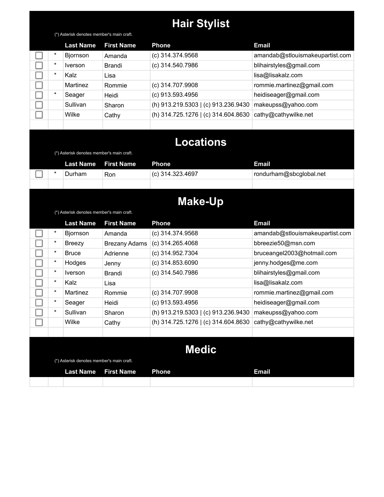## **Hair Stylist**

(\*) Asterisk denotes member's main craft.

|         | <b>Last Name</b> | <b>First Name</b> | <b>Phone</b>                        | <b>Email</b>                    |
|---------|------------------|-------------------|-------------------------------------|---------------------------------|
| $\ast$  | Bjornson         | Amanda            | (c) 314.374.9568                    | amandab@stlouismakeupartist.com |
| $\star$ | <i>Iverson</i>   | Brandi            | (c) 314.540.7986                    | blihairstyles@gmail.com         |
| $\star$ | Kalz             | Lisa              |                                     | lisa@lisakalz.com               |
|         | Martinez         | Rommie            | (c) 314.707.9908                    | rommie.martinez@gmail.com       |
| $\star$ | Seager           | Heidi             | (c) 913.593.4956                    | heidiseager@gmail.com           |
|         | Sullivan         | Sharon            | (h) 913.219.5303   (c) 913.236.9430 | makeupss@yahoo.com              |
|         | Wilke            | Cathy             | (h) 314.725.1276   (c) 314.604.8630 | cathy@cathywilke.net            |
|         |                  |                   |                                     |                                 |

#### **Locations**

(\*) Asterisk denotes member's main craft.

|   | Last Name I | <b>First Name</b> | Phone              | <b>Email</b>            |
|---|-------------|-------------------|--------------------|-------------------------|
| ⋇ | Durham      | Ron               | $(c)$ 314.323.4697 | rondurham@sbcglobal.net |
|   |             |                   |                    |                         |

#### **Make-Up**

(\*) Asterisk denotes member's main craft.

|              | <b>Last Name</b>                          | <b>First Name</b>    | <b>Phone</b>                        | <b>Email</b>                    |  |  |  |  |
|--------------|-------------------------------------------|----------------------|-------------------------------------|---------------------------------|--|--|--|--|
| *            | <b>Bjornson</b>                           | Amanda               | $(c)$ 314.374.9568                  | amandab@stlouismakeupartist.com |  |  |  |  |
| $^\star$     | Breezy                                    | <b>Brezany Adams</b> | $(c)$ 314.265.4068                  | bbreezie50@msn.com              |  |  |  |  |
| *            | <b>Bruce</b>                              | Adrienne             | (c) 314.952.7304                    | bruceangel2003@hotmail.com      |  |  |  |  |
| $\ast$       | Hodges                                    | Jenny                | $(c)$ 314.853.6090                  | jenny.hodges@me.com             |  |  |  |  |
| $\ast$       | <i>Iverson</i>                            | Brandi               | (c) 314.540.7986                    | blihairstyles@gmail.com         |  |  |  |  |
| $\ast$       | Kalz                                      | Lisa                 |                                     | lisa@lisakalz.com               |  |  |  |  |
| $^\star$     | Martinez                                  | Rommie               | (c) 314.707.9908                    | rommie.martinez@gmail.com       |  |  |  |  |
| $^\star$     | Seager                                    | Heidi                | $(c)$ 913.593.4956                  | heidiseager@gmail.com           |  |  |  |  |
| $^\star$     | Sullivan                                  | Sharon               | (h) 913.219.5303   (c) 913.236.9430 | makeupss@yahoo.com              |  |  |  |  |
|              | Wilke                                     | Cathy                | (h) 314.725.1276   (c) 314.604.8630 | cathy@cathywilke.net            |  |  |  |  |
|              |                                           |                      |                                     |                                 |  |  |  |  |
| <b>Medic</b> |                                           |                      |                                     |                                 |  |  |  |  |
|              | (*) Asterisk denotes member's main craft. |                      |                                     |                                 |  |  |  |  |
|              | <b>Last Name</b>                          | <b>First Name</b>    | <b>Phone</b>                        | <b>Email</b>                    |  |  |  |  |
|              |                                           |                      |                                     |                                 |  |  |  |  |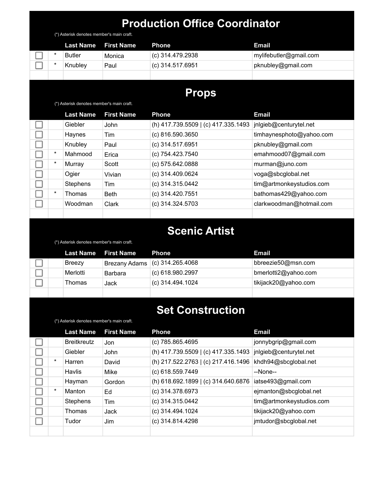| <b>Production Office Coordinator</b><br>(*) Asterisk denotes member's main craft. |                                           |                      |                                     |                          |  |  |  |
|-----------------------------------------------------------------------------------|-------------------------------------------|----------------------|-------------------------------------|--------------------------|--|--|--|
|                                                                                   | <b>Last Name</b>                          | <b>First Name</b>    | <b>Phone</b>                        | <b>Email</b>             |  |  |  |
| $^\star$                                                                          | <b>Butler</b>                             | Monica               | (c) 314.479.2938                    | mylifebutler@gmail.com   |  |  |  |
| $^\star$                                                                          | Knubley                                   | Paul                 | (c) 314.517.6951                    | pknubley@gmail.com       |  |  |  |
|                                                                                   |                                           |                      |                                     |                          |  |  |  |
|                                                                                   |                                           |                      | <b>Props</b>                        |                          |  |  |  |
|                                                                                   | (*) Asterisk denotes member's main craft. |                      |                                     |                          |  |  |  |
|                                                                                   | <b>Last Name</b>                          | <b>First Name</b>    | <b>Phone</b>                        | <b>Email</b>             |  |  |  |
|                                                                                   | Giebler                                   | John                 | (h) 417.739.5509   (c) 417.335.1493 | jnlgieb@centurytel.net   |  |  |  |
|                                                                                   | Haynes                                    | Tim                  | (c) 816.590.3650                    | timhaynesphoto@yahoo.com |  |  |  |
|                                                                                   | Knubley                                   | Paul                 | (c) 314.517.6951                    | pknubley@gmail.com       |  |  |  |
| $^{\star}$                                                                        | Mahmood                                   | Erica                | (c) 754.423.7540                    | emahmood07@gmail.com     |  |  |  |
| $\star$                                                                           | Murray                                    | Scott                | (c) 575.642.0888                    | murman@juno.com          |  |  |  |
|                                                                                   | Ogier                                     | Vivian               | (c) 314.409.0624                    | voga@sbcglobal.net       |  |  |  |
|                                                                                   | Stephens                                  | Tim                  | (c) 314.315.0442                    | tim@artmonkeystudios.com |  |  |  |
| $\star$                                                                           | Thomas                                    | <b>Beth</b>          | (c) 314.420.7551                    | bathomas429@yahoo.com    |  |  |  |
|                                                                                   | Woodman                                   | Clark                | (c) 314.324.5703                    | clarkwoodman@hotmail.com |  |  |  |
|                                                                                   |                                           |                      |                                     |                          |  |  |  |
|                                                                                   |                                           |                      | <b>Scenic Artist</b>                |                          |  |  |  |
|                                                                                   |                                           |                      |                                     |                          |  |  |  |
|                                                                                   | (*) Asterisk denotes member's main craft. |                      |                                     |                          |  |  |  |
|                                                                                   | <b>Last Name</b>                          | <b>First Name</b>    | <b>Phone</b>                        | <b>Email</b>             |  |  |  |
|                                                                                   | <b>Breezy</b>                             | <b>Brezany Adams</b> | $(c)$ 314.265.4068                  | bbreezie50@msn.com       |  |  |  |
|                                                                                   | Merlotti                                  | Barbara              | (c) 618.980.2997                    | bmerlotti2@yahoo.com     |  |  |  |
|                                                                                   | Thomas                                    | Jack                 | (c) 314.494.1024                    | tikijack20@yahoo.com     |  |  |  |
|                                                                                   |                                           |                      |                                     |                          |  |  |  |
|                                                                                   |                                           |                      | <b>Set Construction</b>             |                          |  |  |  |
|                                                                                   | (*) Asterisk denotes member's main craft. |                      |                                     |                          |  |  |  |
|                                                                                   | <b>Last Name</b>                          | <b>First Name</b>    | <b>Phone</b>                        | <b>Email</b>             |  |  |  |
|                                                                                   | <b>Breitkreutz</b>                        | Jon                  | (c) 785.865.4695                    | jonnybgrip@gmail.com     |  |  |  |
|                                                                                   | Giebler                                   | John                 | (h) 417.739.5509   (c) 417.335.1493 | jnlgieb@centurytel.net   |  |  |  |
| $\ast$                                                                            | Harren                                    | David                | (h) 217.522.2763   (c) 217.416.1496 | khdh94@sbcglobal.net     |  |  |  |
|                                                                                   | Havlis                                    | Mike                 | (c) 618.559.7449                    | --None--                 |  |  |  |
|                                                                                   | Hayman                                    | Gordon               | (h) 618.692.1899   (c) 314.640.6876 | iatse493@gmail.com       |  |  |  |
| $\star$                                                                           | Manton                                    | Ed                   | (c) 314.378.6973                    | ejmanton@sbcglobal.net   |  |  |  |
|                                                                                   | Stephens                                  | Tim                  | (c) 314.315.0442                    | tim@artmonkeystudios.com |  |  |  |
|                                                                                   | Thomas                                    | Jack                 | (c) 314.494.1024                    | tikijack20@yahoo.com     |  |  |  |
|                                                                                   | Tudor                                     | Jim                  | (c) 314.814.4298                    | jmtudor@sbcglobal.net    |  |  |  |
|                                                                                   |                                           |                      |                                     |                          |  |  |  |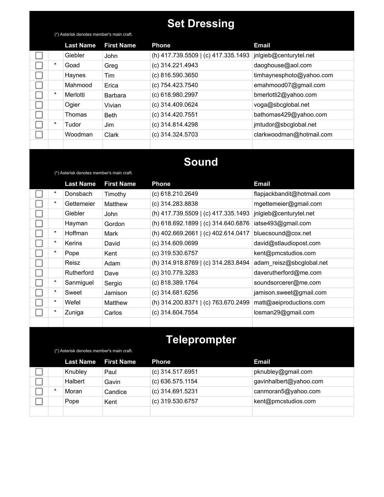## **Set Dressing**

(\*) Asterisk denotes member's main craft.

|          | <b>Last Name</b> | <b>First Name</b> | <b>Phone</b>                        | <b>Email</b>             |
|----------|------------------|-------------------|-------------------------------------|--------------------------|
|          | Giebler          | John              | (h) 417.739.5509   (c) 417.335.1493 | jnlgieb@centurytel.net   |
| $^\star$ | Goad             | Greg              | (c) 314.221.4943                    | daoghouse@aol.com        |
|          | Haynes           | Tim               | (c) 816.590.3650                    | timhaynesphoto@yahoo.com |
|          | Mahmood          | Erica             | (c) 754.423.7540                    | emahmood07@gmail.com     |
| $\ast$   | Merlotti         | Barbara           | (c) 618.980.2997                    | bmerlotti2@yahoo.com     |
|          | Ogier            | Vivian            | (c) 314.409.0624                    | voga@sbcglobal.net       |
|          | Thomas           | <b>Beth</b>       | (c) 314.420.7551                    | bathomas429@yahoo.com    |
| $\ast$   | Tudor            | Jim               | (c) 314.814.4298                    | jmtudor@sbcglobal.net    |
|          | Woodman          | Clark             | (c) 314.324.5703                    | clarkwoodman@hotmail.com |
|          |                  |                   |                                     |                          |

#### **Sound**

(\*) Asterisk denotes member's main craft.

(\*) Asterisk denotes member's main craft.

|          | <b>Last Name</b>  | <b>First Name</b> | <b>Phone</b>                        | <b>Email</b>               |
|----------|-------------------|-------------------|-------------------------------------|----------------------------|
| *        | Donsbach          | Timothy           | (c) 618.210.2649                    | flapjackbandit@hotmail.com |
| *        | Gettemeier        | Matthew           | (c) 314.283.8838                    | mgettemeier@gmail.com      |
|          | Giebler           | John              | (h) 417.739.5509   (c) 417.335.1493 | jnlgieb@centurytel.net     |
|          | Hayman            | Gordon            | (h) 618.692.1899   (c) 314.640.6876 | iatse493@gmail.com         |
| *        | Hoffman           | Mark              | (h) 402.669.2661   (c) 402.614.0417 | bluecsound@cox.net         |
| *        | <b>Kerins</b>     | David             | $(c)$ 314.609.0699                  | david@stlaudiopost.com     |
| $^\star$ | Pope              | Kent              | (c) 319.530.6757                    | kent@pmcstudios.com        |
|          | Reisz             | Adam              | (h) 314.918.8769   (c) 314.283.8494 | adam_reisz@sbcglobal.net   |
|          | <b>Rutherford</b> | Dave              | (c) 310.779.3283                    | daverutherford@me.com      |
| *        | Sanmiguel         | Sergio            | (c) 818.389.1764                    | soundsorcerer@me.com       |
| *        | Sweet             | Jamison           | $(c)$ 314.681.6256                  | jamison.sweet@gmail.com    |
| *        | Wefel             | Matthew           | (h) 314.200.8371   (c) 763.670.2499 | matt@aeiproductions.com    |
| *        | Zuniga            | Carlos            | (c) 314.604.7554                    | losman29@gmail.com         |
|          |                   |                   |                                     |                            |

## **Teleprompter**

|        | <b>Last Name</b> | <b>First Name</b> | <b>Phone</b>       | Email                  |
|--------|------------------|-------------------|--------------------|------------------------|
|        | Knubley          | Paul              | $(c)$ 314.517.6951 | pknubley@gmail.com     |
|        | Halbert          | Gavin             | $(c)$ 636.575.1154 | gavinhalbert@yahoo.com |
| $\ast$ | Moran            | Candice           | (c) 314.691.5231   | canmoran5@yahoo.com    |
|        | Pope             | Kent              | $(c)$ 319.530.6757 | kent@pmcstudios.com    |
|        |                  |                   |                    |                        |